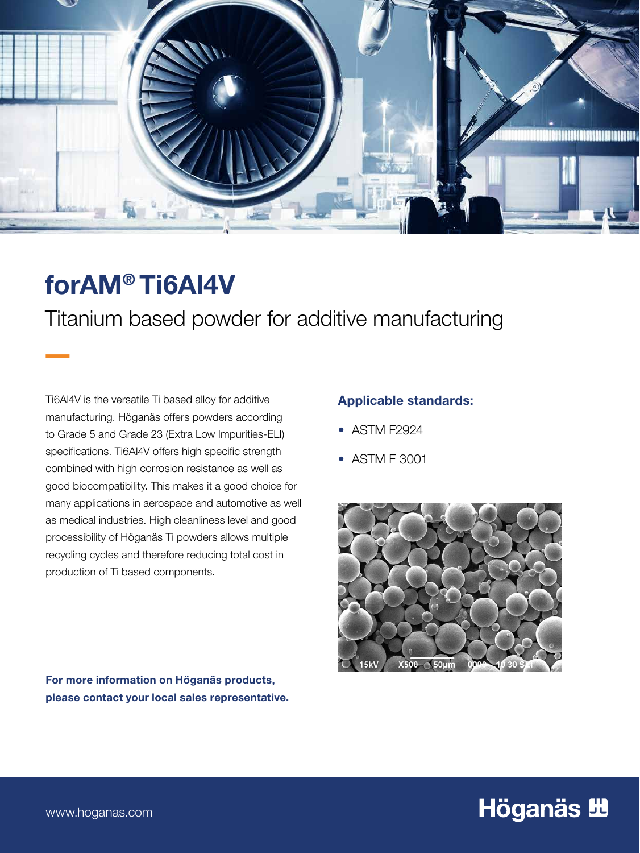

# forAM® Ti6Al4V

 $\overline{\phantom{a}}$ 

Titanium based powder for additive manufacturing

Ti6Al4V is the versatile Ti based alloy for additive manufacturing. Höganäs offers powders according to Grade 5 and Grade 23 (Extra Low Impurities-ELI) specifications. Ti6Al4V offers high specific strength combined with high corrosion resistance as well as good biocompatibility. This makes it a good choice for many applications in aerospace and automotive as well as medical industries. High cleanliness level and good processibility of Höganäs Ti powders allows multiple recycling cycles and therefore reducing total cost in production of Ti based components.

### For more information on Höganäs products, please contact your local sales representative.

### Applicable standards:

- ASTM F2924
- ASTM F 3001



# Höganäs **H**